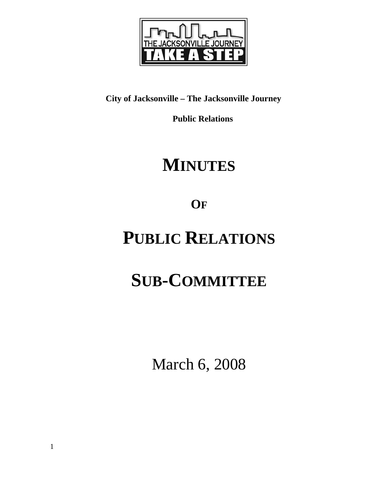

### **City of Jacksonville – The Jacksonville Journey**

 **Public Relations** 

### **MINUTES**

**OF**

## **PUBLIC RELATIONS**

# **SUB-COMMITTEE**

March 6, 2008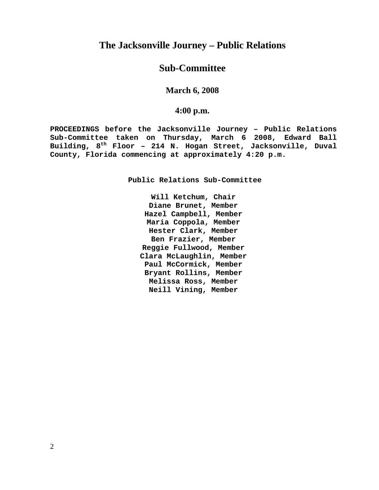### **The Jacksonville Journey – Public Relations**

#### **Sub-Committee**

#### **March 6, 2008**

#### **4:00 p.m.**

**PROCEEDINGS before the Jacksonville Journey – Public Relations Sub-Committee taken on Thursday, March 6 2008, Edward Ball Building, 8th Floor – 214 N. Hogan Street, Jacksonville, Duval County, Florida commencing at approximately 4:20 p.m.** 

**Public Relations Sub-Committee** 

**Will Ketchum, Chair Diane Brunet, Member Hazel Campbell, Member Maria Coppola, Member Hester Clark, Member Ben Frazier, Member Reggie Fullwood, Member Clara McLaughlin, Member Paul McCormick, Member Bryant Rollins, Member Melissa Ross, Member Neill Vining, Member**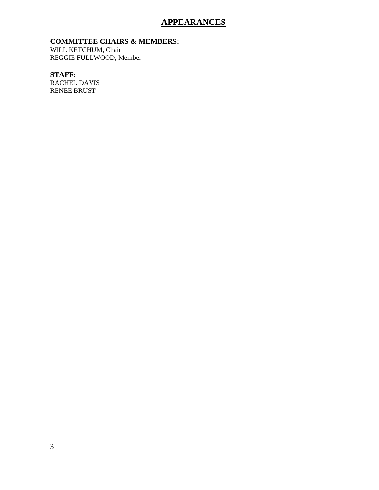#### **APPEARANCES**

**COMMITTEE CHAIRS & MEMBERS:**

WILL KETCHUM, Chair REGGIE FULLWOOD, Member

**STAFF:**  RACHEL DAVIS RENEE BRUST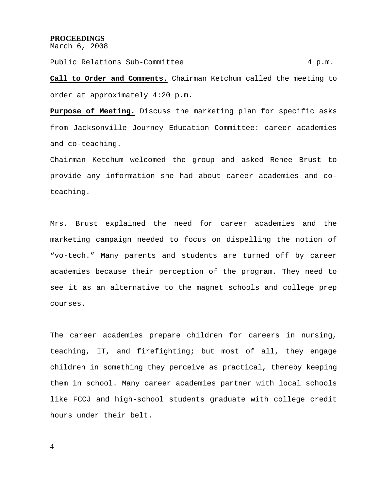#### **PROCEEDINGS**

March 6, 2008

Public Relations Sub-Committee 4 p.m.

**Call to Order and Comments.** Chairman Ketchum called the meeting to order at approximately 4:20 p.m.

**Purpose of Meeting.** Discuss the marketing plan for specific asks from Jacksonville Journey Education Committee: career academies and co-teaching.

Chairman Ketchum welcomed the group and asked Renee Brust to provide any information she had about career academies and coteaching.

Mrs. Brust explained the need for career academies and the marketing campaign needed to focus on dispelling the notion of "vo-tech." Many parents and students are turned off by career academies because their perception of the program. They need to see it as an alternative to the magnet schools and college prep courses.

The career academies prepare children for careers in nursing, teaching, IT, and firefighting; but most of all, they engage children in something they perceive as practical, thereby keeping them in school. Many career academies partner with local schools like FCCJ and high-school students graduate with college credit hours under their belt.

4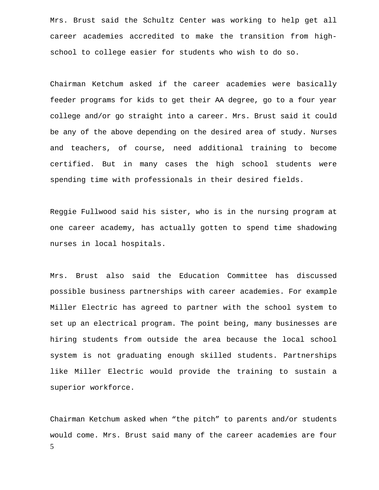Mrs. Brust said the Schultz Center was working to help get all career academies accredited to make the transition from highschool to college easier for students who wish to do so.

Chairman Ketchum asked if the career academies were basically feeder programs for kids to get their AA degree, go to a four year college and/or go straight into a career. Mrs. Brust said it could be any of the above depending on the desired area of study. Nurses and teachers, of course, need additional training to become certified. But in many cases the high school students were spending time with professionals in their desired fields.

Reggie Fullwood said his sister, who is in the nursing program at one career academy, has actually gotten to spend time shadowing nurses in local hospitals.

Mrs. Brust also said the Education Committee has discussed possible business partnerships with career academies. For example Miller Electric has agreed to partner with the school system to set up an electrical program. The point being, many businesses are hiring students from outside the area because the local school system is not graduating enough skilled students. Partnerships like Miller Electric would provide the training to sustain a superior workforce.

5 Chairman Ketchum asked when "the pitch" to parents and/or students would come. Mrs. Brust said many of the career academies are four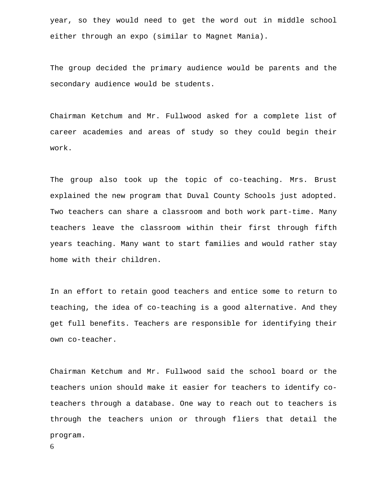year, so they would need to get the word out in middle school either through an expo (similar to Magnet Mania).

The group decided the primary audience would be parents and the secondary audience would be students.

Chairman Ketchum and Mr. Fullwood asked for a complete list of career academies and areas of study so they could begin their work.

The group also took up the topic of co-teaching. Mrs. Brust explained the new program that Duval County Schools just adopted. Two teachers can share a classroom and both work part-time. Many teachers leave the classroom within their first through fifth years teaching. Many want to start families and would rather stay home with their children.

In an effort to retain good teachers and entice some to return to teaching, the idea of co-teaching is a good alternative. And they get full benefits. Teachers are responsible for identifying their own co-teacher.

Chairman Ketchum and Mr. Fullwood said the school board or the teachers union should make it easier for teachers to identify coteachers through a database. One way to reach out to teachers is through the teachers union or through fliers that detail the program.

6